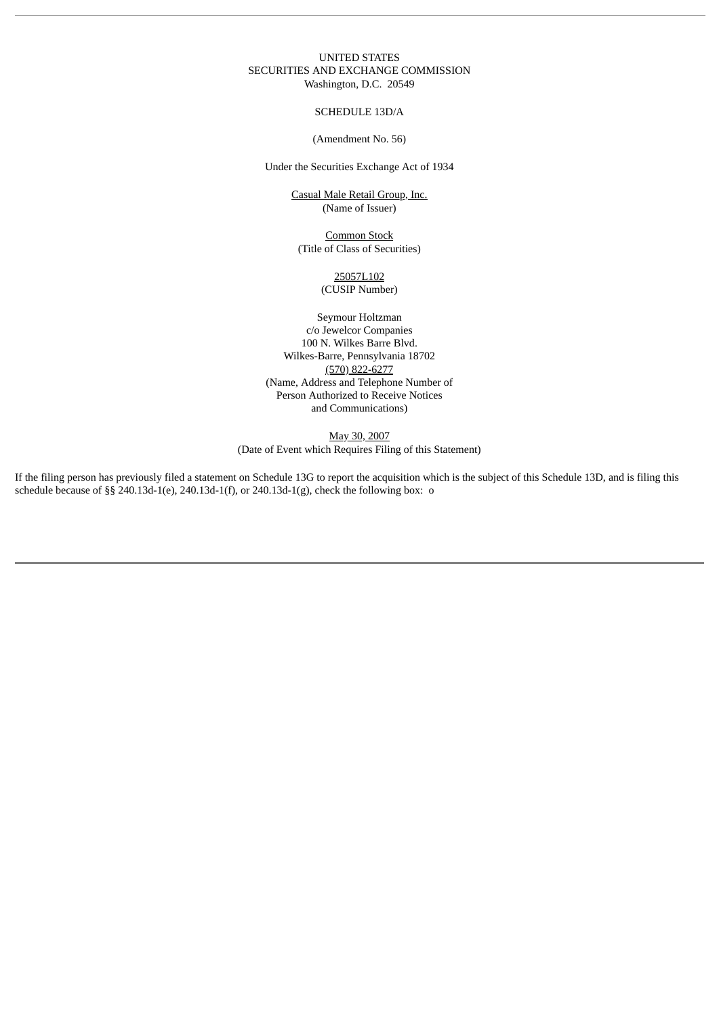### UNITED STATES SECURITIES AND EXCHANGE COMMISSION Washington, D.C. 20549

SCHEDULE 13D/A

(Amendment No. 56)

Under the Securities Exchange Act of 1934

Casual Male Retail Group, Inc. (Name of Issuer)

Common Stock (Title of Class of Securities)

> 25057L102 (CUSIP Number)

Seymour Holtzman c/o Jewelcor Companies 100 N. Wilkes Barre Blvd. Wilkes-Barre, Pennsylvania 18702 (570) 822-6277 (Name, Address and Telephone Number of Person Authorized to Receive Notices and Communications)

May 30, 2007 (Date of Event which Requires Filing of this Statement)

If the filing person has previously filed a statement on Schedule 13G to report the acquisition which is the subject of this Schedule 13D, and is filing this schedule because of §§ 240.13d-1(e), 240.13d-1(f), or 240.13d-1(g), check the following box: o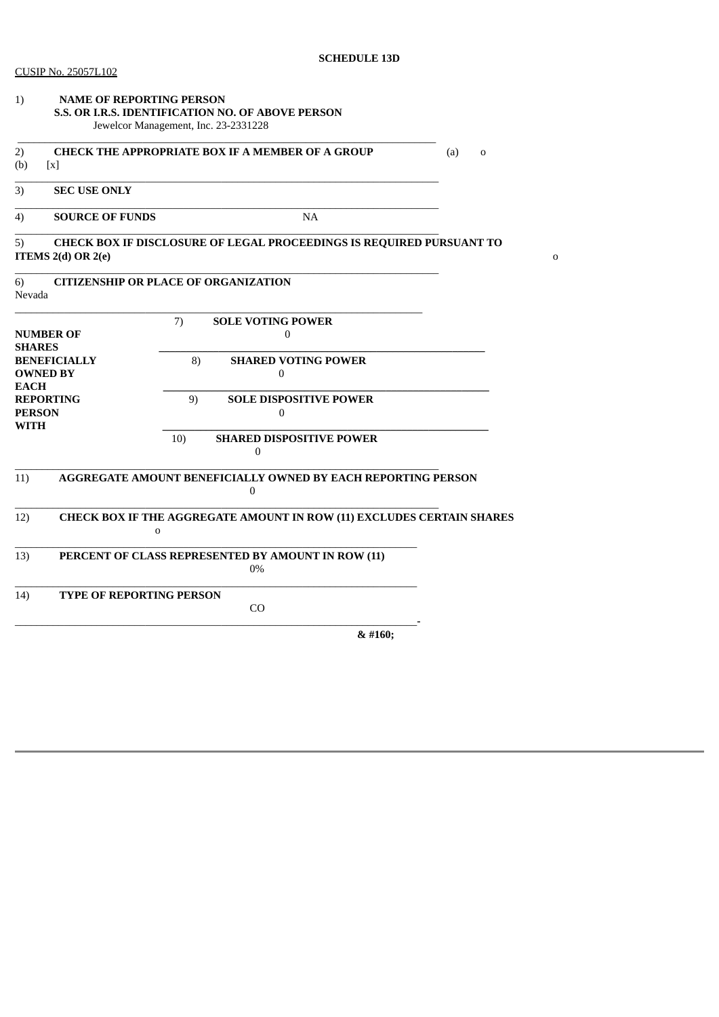| 1)                                                    | <b>NAME OF REPORTING PERSON</b><br>S.S. OR I.R.S. IDENTIFICATION NO. OF ABOVE PERSON<br>Jewelcor Management, Inc. 23-2331228 | (a)<br>$\mathbf 0$ |                                                                                         |             |
|-------------------------------------------------------|------------------------------------------------------------------------------------------------------------------------------|--------------------|-----------------------------------------------------------------------------------------|-------------|
| 2)<br>(b)<br>$\lceil x \rceil$                        | <b>CHECK THE APPROPRIATE BOX IF A MEMBER OF A GROUP</b>                                                                      |                    |                                                                                         |             |
| 3)                                                    | <b>SEC USE ONLY</b>                                                                                                          |                    |                                                                                         |             |
| 4)                                                    | <b>SOURCE OF FUNDS</b>                                                                                                       |                    | <b>NA</b>                                                                               |             |
| 5)                                                    | ITEMS $2(d)$ OR $2(e)$                                                                                                       |                    | CHECK BOX IF DISCLOSURE OF LEGAL PROCEEDINGS IS REQUIRED PURSUANT TO                    | $\mathbf 0$ |
| 6)<br>Nevada                                          | <b>CITIZENSHIP OR PLACE OF ORGANIZATION</b>                                                                                  |                    |                                                                                         |             |
| <b>NUMBER OF</b><br><b>SHARES</b>                     |                                                                                                                              | 7)                 | <b>SOLE VOTING POWER</b><br>$\mathbf{0}$                                                |             |
| <b>BENEFICIALLY</b><br><b>OWNED BY</b><br><b>EACH</b> |                                                                                                                              | 8)                 | <b>SHARED VOTING POWER</b><br>$\boldsymbol{0}$                                          |             |
| <b>REPORTING</b><br><b>PERSON</b><br>WITH             |                                                                                                                              | 9)                 | <b>SOLE DISPOSITIVE POWER</b><br>$\Omega$                                               |             |
|                                                       |                                                                                                                              | 10)                | <b>SHARED DISPOSITIVE POWER</b><br>0                                                    |             |
| 11)                                                   |                                                                                                                              |                    | <b>AGGREGATE AMOUNT BENEFICIALLY OWNED BY EACH REPORTING PERSON</b><br>$\boldsymbol{0}$ |             |
| 12)                                                   | $\Omega$                                                                                                                     |                    | CHECK BOX IF THE AGGREGATE AMOUNT IN ROW (11) EXCLUDES CERTAIN SHARES                   |             |
| 13)                                                   |                                                                                                                              |                    | PERCENT OF CLASS REPRESENTED BY AMOUNT IN ROW (11)<br>0%                                |             |
| 14)                                                   | <b>TYPE OF REPORTING PERSON</b>                                                                                              |                    | CO                                                                                      |             |
|                                                       |                                                                                                                              |                    | & #160;                                                                                 |             |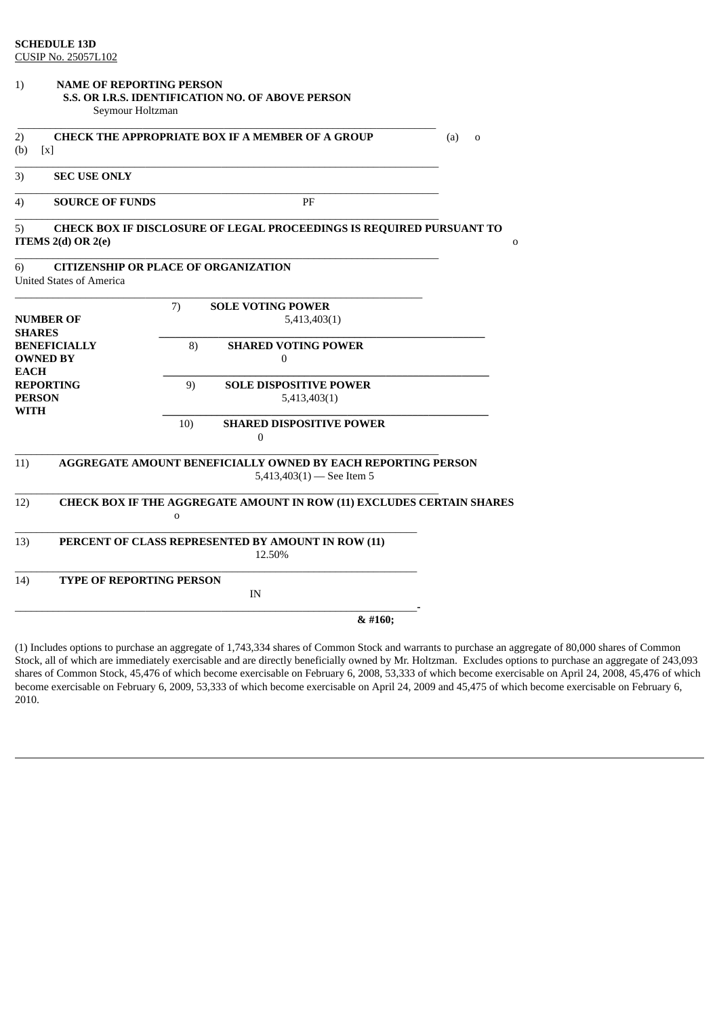| 1)                           | <b>NAME OF REPORTING PERSON</b><br>Seymour Holtzman                            |             | S.S. OR I.R.S. IDENTIFICATION NO. OF ABOVE PERSON                                           |                    |
|------------------------------|--------------------------------------------------------------------------------|-------------|---------------------------------------------------------------------------------------------|--------------------|
| 2)<br>(b)                    | $\lceil x \rceil$                                                              |             | <b>CHECK THE APPROPRIATE BOX IF A MEMBER OF A GROUP</b>                                     | (a)<br>$\mathbf 0$ |
| 3)                           | <b>SEC USE ONLY</b>                                                            |             |                                                                                             |                    |
| 4)                           | <b>SOURCE OF FUNDS</b>                                                         |             | PF                                                                                          |                    |
| 5)                           | ITEMS $2(d)$ OR $2(e)$                                                         |             | CHECK BOX IF DISCLOSURE OF LEGAL PROCEEDINGS IS REQUIRED PURSUANT TO                        | 0                  |
| 6)                           | <b>CITIZENSHIP OR PLACE OF ORGANIZATION</b><br><b>United States of America</b> |             |                                                                                             |                    |
| <b>SHARES</b>                | <b>NUMBER OF</b>                                                               | 7)          | <b>SOLE VOTING POWER</b><br>5,413,403(1)                                                    |                    |
| <b>EACH</b>                  | <b>BENEFICIALLY</b><br><b>OWNED BY</b>                                         | 8)          | <b>SHARED VOTING POWER</b><br>$\theta$                                                      |                    |
| <b>PERSON</b><br><b>WITH</b> | <b>REPORTING</b>                                                               | 9)          | <b>SOLE DISPOSITIVE POWER</b><br>5,413,403(1)                                               |                    |
|                              |                                                                                | 10)         | <b>SHARED DISPOSITIVE POWER</b><br>$\Omega$                                                 |                    |
| 11)                          |                                                                                |             | AGGREGATE AMOUNT BENEFICIALLY OWNED BY EACH REPORTING PERSON<br>$5,413,403(1)$ - See Item 5 |                    |
| 12)                          |                                                                                | $\mathbf 0$ | CHECK BOX IF THE AGGREGATE AMOUNT IN ROW (11) EXCLUDES CERTAIN SHARES                       |                    |
| 13)                          |                                                                                |             | PERCENT OF CLASS REPRESENTED BY AMOUNT IN ROW (11)<br>12.50%                                |                    |
| 14)                          | <b>TYPE OF REPORTING PERSON</b>                                                |             | IN                                                                                          |                    |
|                              |                                                                                |             | & #160;                                                                                     |                    |

(1) Includes options to purchase an aggregate of 1,743,334 shares of Common Stock and warrants to purchase an aggregate of 80,000 shares of Common Stock, all of which are immediately exercisable and are directly beneficially owned by Mr. Holtzman. Excludes options to purchase an aggregate of 243,093 shares of Common Stock, 45,476 of which become exercisable on February 6, 2008, 53,333 of which become exercisable on April 24, 2008, 45,476 of which become exercisable on February 6, 2009, 53,333 of which become exercisable on April 24, 2009 and 45,475 of which become exercisable on February 6, 2010.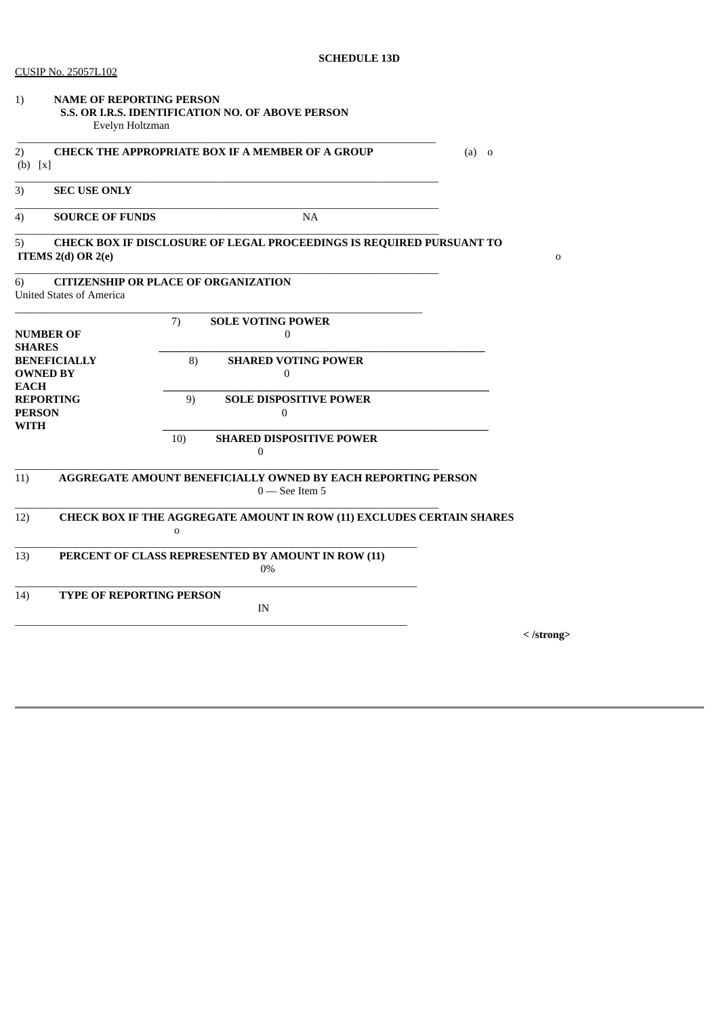| 1)                           | <b>NAME OF REPORTING PERSON</b><br>S.S. OR I.R.S. IDENTIFICATION NO. OF ABOVE PERSON<br>Evelyn Holtzman |             |                                                                                  |         |                    |
|------------------------------|---------------------------------------------------------------------------------------------------------|-------------|----------------------------------------------------------------------------------|---------|--------------------|
| 2)<br>$(b)$ [x]              |                                                                                                         |             | <b>CHECK THE APPROPRIATE BOX IF A MEMBER OF A GROUP</b>                          | $(a)$ o |                    |
| 3)                           | <b>SEC USE ONLY</b>                                                                                     |             |                                                                                  |         |                    |
| 4)                           | <b>SOURCE OF FUNDS</b>                                                                                  |             | NA                                                                               |         |                    |
| 5)                           | ITEMS $2(d)$ OR $2(e)$                                                                                  |             | CHECK BOX IF DISCLOSURE OF LEGAL PROCEEDINGS IS REQUIRED PURSUANT TO             |         | 0                  |
| 6)                           | <b>CITIZENSHIP OR PLACE OF ORGANIZATION</b><br><b>United States of America</b>                          |             |                                                                                  |         |                    |
| <b>SHARES</b>                | <b>NUMBER OF</b>                                                                                        | 7)          | <b>SOLE VOTING POWER</b><br>$\boldsymbol{0}$                                     |         |                    |
| <b>EACH</b>                  | <b>BENEFICIALLY</b><br><b>OWNED BY</b>                                                                  | 8)          | <b>SHARED VOTING POWER</b><br>$\mathbf{0}$                                       |         |                    |
| <b>PERSON</b><br><b>WITH</b> | <b>REPORTING</b>                                                                                        | 9)          | <b>SOLE DISPOSITIVE POWER</b><br>$\mathbf{0}$                                    |         |                    |
|                              |                                                                                                         | 10)         | <b>SHARED DISPOSITIVE POWER</b><br>0                                             |         |                    |
| 11)                          |                                                                                                         |             | AGGREGATE AMOUNT BENEFICIALLY OWNED BY EACH REPORTING PERSON<br>$0$ — See Item 5 |         |                    |
| 12)                          |                                                                                                         | $\mathbf 0$ | CHECK BOX IF THE AGGREGATE AMOUNT IN ROW (11) EXCLUDES CERTAIN SHARES            |         |                    |
| 13)                          |                                                                                                         |             | PERCENT OF CLASS REPRESENTED BY AMOUNT IN ROW (11)<br>0%                         |         |                    |
| 14)                          | <b>TYPE OF REPORTING PERSON</b>                                                                         |             | IN                                                                               |         |                    |
|                              |                                                                                                         |             |                                                                                  |         | $\langle$ /strong> |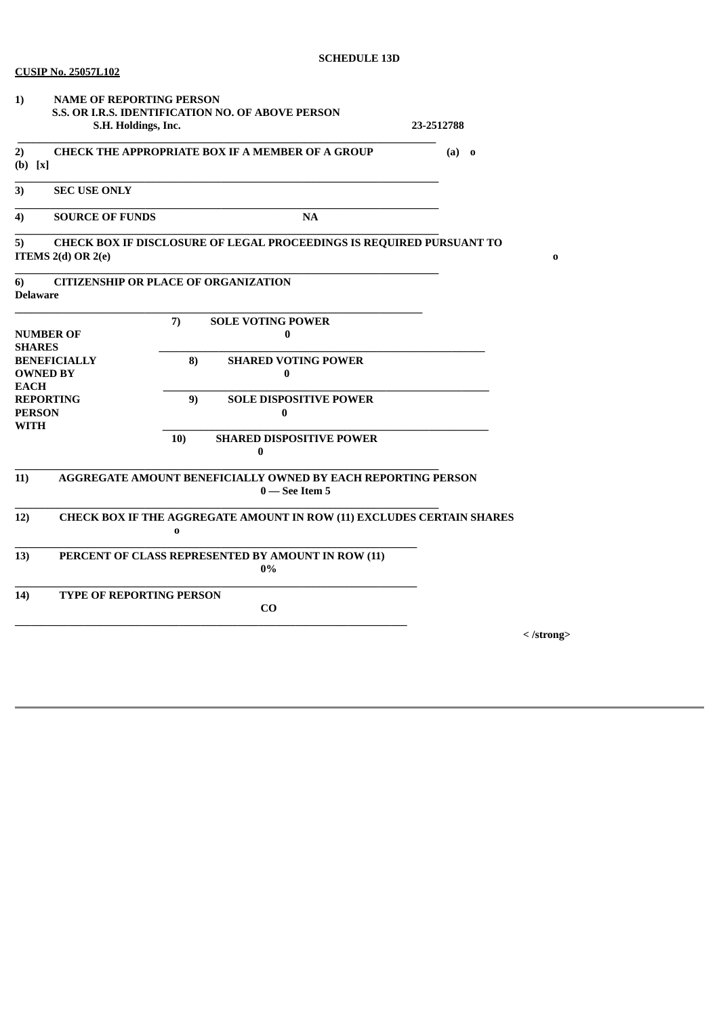| 1)                                               | <b>NAME OF REPORTING PERSON</b><br>S.H. Holdings, Inc. |          | S.S. OR I.R.S. IDENTIFICATION NO. OF ABOVE PERSON                                | 23-2512788 |                    |
|--------------------------------------------------|--------------------------------------------------------|----------|----------------------------------------------------------------------------------|------------|--------------------|
| 2)<br>$(b)$ [x]                                  |                                                        |          | <b>CHECK THE APPROPRIATE BOX IF A MEMBER OF A GROUP</b>                          | $(a)$ o    |                    |
| 3)                                               | <b>SEC USE ONLY</b>                                    |          |                                                                                  |            |                    |
| 4)                                               | <b>SOURCE OF FUNDS</b>                                 |          | <b>NA</b>                                                                        |            |                    |
| 5)                                               | ITEMS $2(d)$ OR $2(e)$                                 |          | CHECK BOX IF DISCLOSURE OF LEGAL PROCEEDINGS IS REQUIRED PURSUANT TO             |            | 0                  |
| 6)<br><b>Delaware</b>                            | <b>CITIZENSHIP OR PLACE OF ORGANIZATION</b>            |          |                                                                                  |            |                    |
| <b>SHARES</b>                                    | <b>NUMBER OF</b>                                       | 7)       | <b>SOLE VOTING POWER</b><br>0                                                    |            |                    |
| <b>OWNED BY</b><br><b>EACH</b>                   | <b>BENEFICIALLY</b>                                    | 8)       | <b>SHARED VOTING POWER</b><br>$\bf{0}$                                           |            |                    |
| <b>REPORTING</b><br><b>PERSON</b><br><b>WITH</b> |                                                        | 9)       | <b>SOLE DISPOSITIVE POWER</b><br>$\bf{0}$                                        |            |                    |
|                                                  |                                                        | 10)      | <b>SHARED DISPOSITIVE POWER</b><br>$\bf{0}$                                      |            |                    |
| 11)                                              |                                                        |          | AGGREGATE AMOUNT BENEFICIALLY OWNED BY EACH REPORTING PERSON<br>$0$ — See Item 5 |            |                    |
| 12)                                              |                                                        | $\bf{0}$ | CHECK BOX IF THE AGGREGATE AMOUNT IN ROW (11) EXCLUDES CERTAIN SHARES            |            |                    |
| 13)                                              |                                                        |          | PERCENT OF CLASS REPRESENTED BY AMOUNT IN ROW (11)<br>0%                         |            |                    |
| 14)                                              | TYPE OF REPORTING PERSON                               |          | CO                                                                               |            |                    |
|                                                  |                                                        |          |                                                                                  |            | $\langle$ /strong> |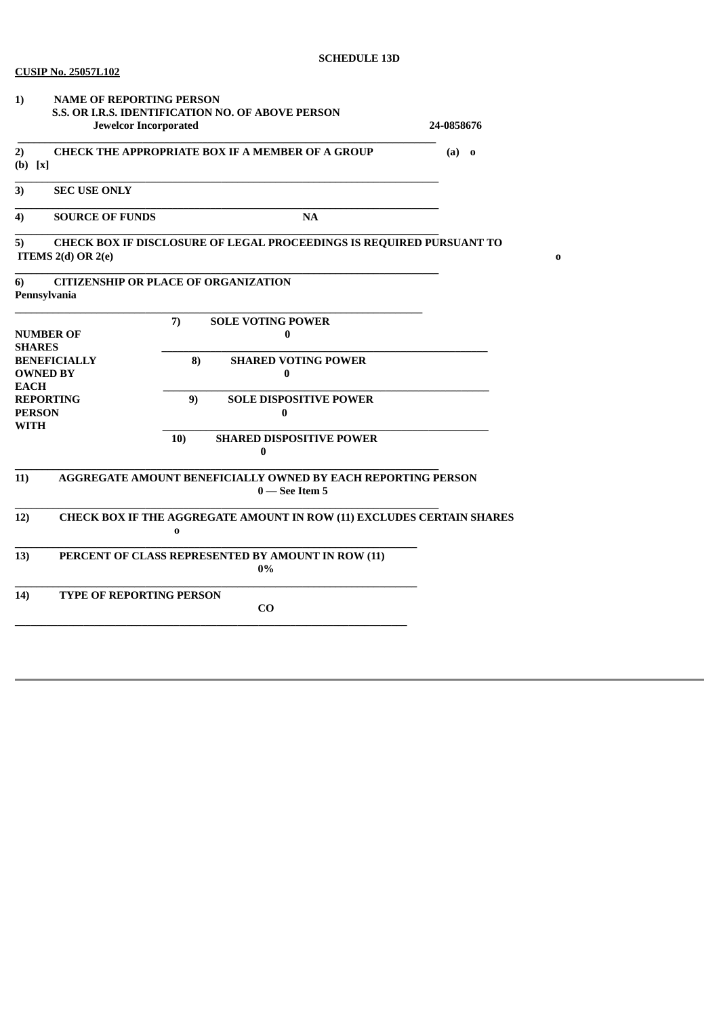| 1)                                                                       | <b>NAME OF REPORTING PERSON</b><br>S.S. OR I.R.S. IDENTIFICATION NO. OF ABOVE PERSON<br><b>Jewelcor Incorporated</b> | 24-0858676 |                                                                                         |  |  |
|--------------------------------------------------------------------------|----------------------------------------------------------------------------------------------------------------------|------------|-----------------------------------------------------------------------------------------|--|--|
| <b>CHECK THE APPROPRIATE BOX IF A MEMBER OF A GROUP</b><br>2)<br>(b) [x] | $(a)$ o                                                                                                              |            |                                                                                         |  |  |
| 3)                                                                       | <b>SEC USE ONLY</b>                                                                                                  |            |                                                                                         |  |  |
| 4)                                                                       | <b>SOURCE OF FUNDS</b>                                                                                               |            |                                                                                         |  |  |
| 5)                                                                       | CHECK BOX IF DISCLOSURE OF LEGAL PROCEEDINGS IS REQUIRED PURSUANT TO<br>ITEMS $2(d)$ OR $2(e)$                       |            |                                                                                         |  |  |
| 6)<br>Pennsylvania                                                       |                                                                                                                      |            | <b>CITIZENSHIP OR PLACE OF ORGANIZATION</b>                                             |  |  |
| <b>NUMBER OF</b><br><b>SHARES</b>                                        |                                                                                                                      | 7)         | <b>SOLE VOTING POWER</b><br>$\bf{0}$                                                    |  |  |
| <b>BENEFICIALLY</b><br><b>OWNED BY</b><br><b>EACH</b>                    |                                                                                                                      | 8)         | <b>SHARED VOTING POWER</b><br>$\bf{0}$                                                  |  |  |
| <b>REPORTING</b><br><b>PERSON</b><br><b>WITH</b>                         |                                                                                                                      | 9)         | <b>SOLE DISPOSITIVE POWER</b><br>0                                                      |  |  |
|                                                                          |                                                                                                                      | 10)        | <b>SHARED DISPOSITIVE POWER</b><br>$\bf{0}$                                             |  |  |
| 11)                                                                      |                                                                                                                      |            | <b>AGGREGATE AMOUNT BENEFICIALLY OWNED BY EACH REPORTING PERSON</b><br>$0$ — See Item 5 |  |  |
| 12)                                                                      | CHECK BOX IF THE AGGREGATE AMOUNT IN ROW (11) EXCLUDES CERTAIN SHARES<br>$\bf{0}$                                    |            |                                                                                         |  |  |
| 13)                                                                      | PERCENT OF CLASS REPRESENTED BY AMOUNT IN ROW (11)<br>0%                                                             |            |                                                                                         |  |  |
| 14)                                                                      | <b>TYPE OF REPORTING PERSON</b>                                                                                      |            | $\bf{C0}$                                                                               |  |  |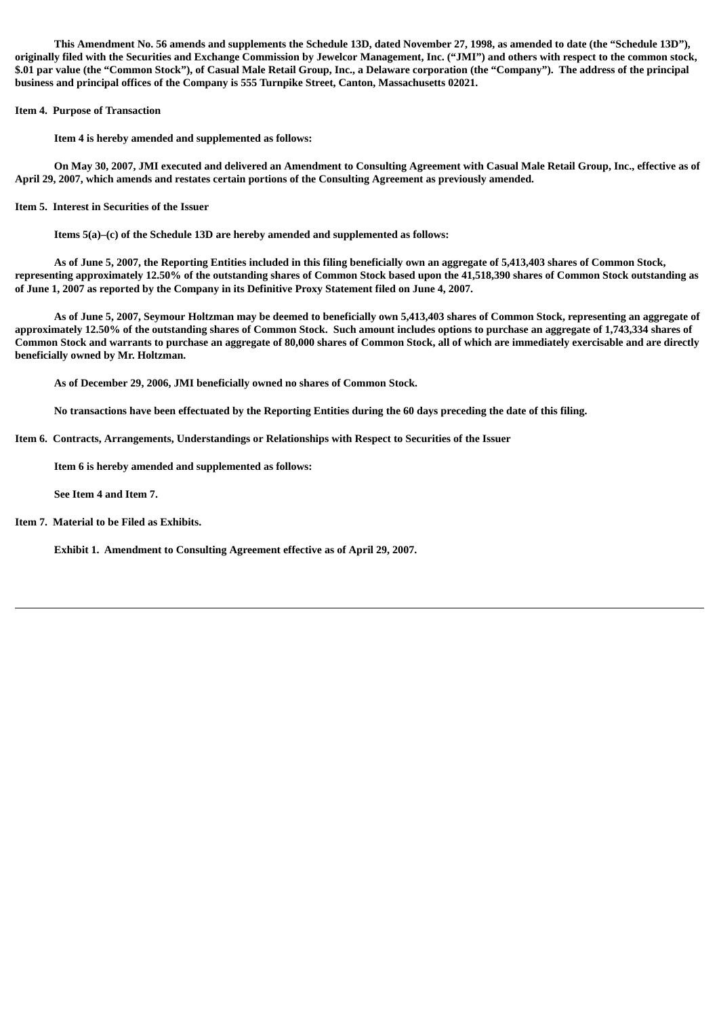This Amendment No. 56 amends and supplements the Schedule 13D, dated November 27, 1998, as amended to date (the "Schedule 13D"), originally filed with the Securities and Exchange Commission by Jewelcor Management, Inc. ("JMI") and others with respect to the common stock, \$.01 par value (the "Common Stock"), of Casual Male Retail Group, Inc., a Delaware corporation (the "Company"). The address of the principal **business and principal offices of the Company is 555 Turnpike Street, Canton, Massachusetts 02021.**

**Item 4. Purpose of Transaction**

**Item 4 is hereby amended and supplemented as follows:**

On May 30, 2007, JMI executed and delivered an Amendment to Consulting Agreement with Casual Male Retail Group, Inc., effective as of **April 29, 2007, which amends and restates certain portions of the Consulting Agreement as previously amended.**

**Item 5. Interest in Securities of the Issuer**

**Items 5(a)–(c) of the Schedule 13D are hereby amended and supplemented as follows:**

As of June 5, 2007, the Reporting Entities included in this filing beneficially own an aggregate of 5,413,403 shares of Common Stock, representing approximately 12.50% of the outstanding shares of Common Stock based upon the 41,518,390 shares of Common Stock outstanding as of June 1, 2007 as reported by the Company in its Definitive Proxy Statement filed on June 4, 2007.

As of June 5, 2007, Seymour Holtzman may be deemed to beneficially own 5.413.403 shares of Common Stock, representing an aggregate of approximately 12.50% of the outstanding shares of Common Stock. Such amount includes options to purchase an aggregate of 1,743,334 shares of Common Stock and warrants to purchase an aggregate of 80,000 shares of Common Stock, all of which are immediately exercisable and are directly **beneficially owned by Mr. Holtzman.**

**As of December 29, 2006, JMI beneficially owned no shares of Common Stock.**

No transactions have been effectuated by the Reporting Entities during the 60 days preceding the date of this filing.

**Item 6. Contracts, Arrangements, Understandings or Relationships with Respect to Securities of the Issuer**

**Item 6 is hereby amended and supplemented as follows:**

**See Item 4 and Item 7.**

**Item 7. Material to be Filed as Exhibits.**

**Exhibit 1. Amendment to Consulting Agreement effective as of April 29, 2007.**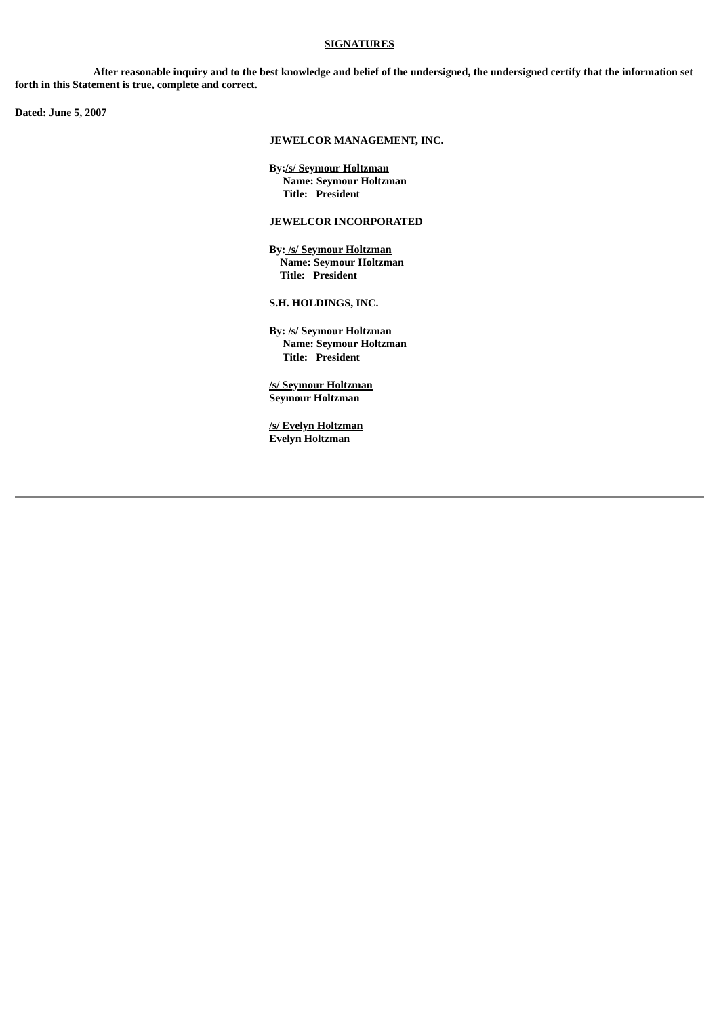#### **SIGNATURES**

After reasonable inquiry and to the best knowledge and belief of the undersigned, the undersigned certify that the information set **forth in this Statement is true, complete and correct.**

**Dated: June 5, 2007**

# **JEWELCOR MANAGEMENT, INC.**

**By:/s/ Seymour Holtzman Name: Seymour Holtzman Title: President**

# **JEWELCOR INCORPORATED**

**By: /s/ Seymour Holtzman Name: Seymour Holtzman Title: President**

**S.H. HOLDINGS, INC.**

**By: /s/ Seymour Holtzman Name: Seymour Holtzman Title: President**

**/s/ Seymour Holtzman Seymour Holtzman**

**/s/ Evelyn Holtzman Evelyn Holtzman**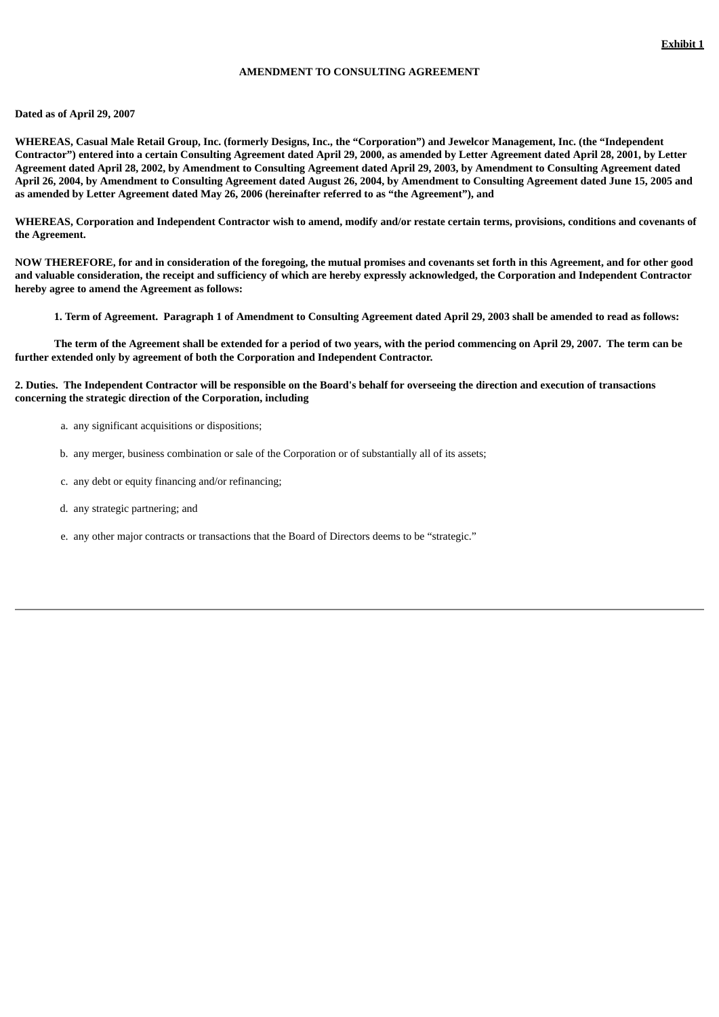## **AMENDMENT TO CONSULTING AGREEMENT**

#### **Dated as of April 29, 2007**

WHEREAS, Casual Male Retail Group, Inc. (formerly Designs, Inc., the "Corporation") and Jewelcor Management, Inc. (the "Independent Contractor") entered into a certain Consulting Agreement dated April 29, 2000, as amended by Letter Agreement dated April 28, 2001, by Letter Agreement dated April 28, 2002, by Amendment to Consulting Agreement dated April 29, 2003, by Amendment to Consulting Agreement dated April 26, 2004, by Amendment to Consulting Agreement dated August 26, 2004, by Amendment to Consulting Agreement dated June 15, 2005 and **as amended by Letter Agreement dated May 26, 2006 (hereinafter referred to as "the Agreement"), and**

WHEREAS, Corporation and Independent Contractor wish to amend, modify and/or restate certain terms, provisions, conditions and covenants of **the Agreement.**

NOW THEREFORE, for and in consideration of the foregoing, the mutual promises and covenants set forth in this Agreement, and for other good and valuable consideration, the receipt and sufficiency of which are hereby expressly acknowledged, the Corporation and Independent Contractor **hereby agree to amend the Agreement as follows:**

1. Term of Agreement. Paragraph 1 of Amendment to Consulting Agreement dated April 29, 2003 shall be amended to read as follows:

The term of the Agreement shall be extended for a period of two years, with the period commencing on April 29, 2007. The term can be **further extended only by agreement of both the Corporation and Independent Contractor.**

#### 2. Duties. The Independent Contractor will be responsible on the Board's behalf for overseeing the direction and execution of transactions **concerning the strategic direction of the Corporation, including**

- a. any significant acquisitions or dispositions;
- b. any merger, business combination or sale of the Corporation or of substantially all of its assets;
- c. any debt or equity financing and/or refinancing;
- d. any strategic partnering; and
- e. any other major contracts or transactions that the Board of Directors deems to be "strategic."